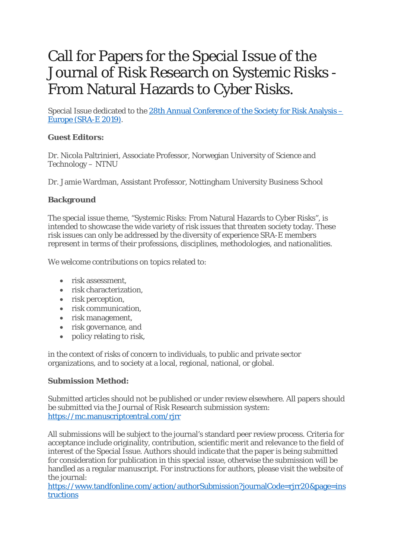# Call for Papers for the Special Issue of the Journal of Risk Research on Systemic Risks - From Natural Hazards to Cyber Risks.

Special Issue dedicated to the [28th Annual Conference of the Society for Risk Analysis](https://www.iass-potsdam.de/en/events/systemic-risks-natural-hazards-cyber-risks) – [Europe \(SRA-E 2019\).](https://www.iass-potsdam.de/en/events/systemic-risks-natural-hazards-cyber-risks)

### **Guest Editors:**

Dr. Nicola Paltrinieri, Associate Professor, Norwegian University of Science and Technology – NTNU

Dr. Jamie Wardman, Assistant Professor, Nottingham University Business School

#### **Background**

The special issue theme, "Systemic Risks: From Natural Hazards to Cyber Risks", is intended to showcase the wide variety of risk issues that threaten society today. These risk issues can only be addressed by the diversity of experience SRA-E members represent in terms of their professions, disciplines, methodologies, and nationalities.

We welcome contributions on topics related to:

- risk assessment.
- risk characterization.
- risk perception,
- risk communication,
- risk management,
- risk governance, and
- policy relating to risk,

in the context of risks of concern to individuals, to public and private sector organizations, and to society at a local, regional, national, or global.

#### **Submission Method:**

Submitted articles should not be published or under review elsewhere. All papers should be submitted via the Journal of Risk Research submission system: <https://mc.manuscriptcentral.com/rjrr>

All submissions will be subject to the journal's standard peer review process. Criteria for acceptance include originality, contribution, scientific merit and relevance to the field of interest of the Special Issue. Authors should indicate that the paper is being submitted for consideration for publication in this special issue, otherwise the submission will be handled as a regular manuscript. For instructions for authors, please visit the website of the journal:

[https://www.tandfonline.com/action/authorSubmission?journalCode=rjrr20&page=ins](https://www.tandfonline.com/action/authorSubmission?journalCode=rjrr20&page=instructions) [tructions](https://www.tandfonline.com/action/authorSubmission?journalCode=rjrr20&page=instructions)